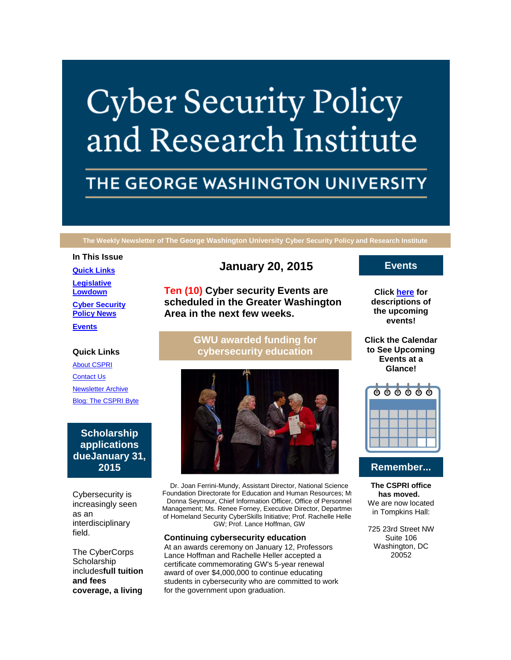# **Cyber Security Policy** and Research Institute

# THE GEORGE WASHINGTON UNIVERSITY

**The Weekly Newsletter of The George Washington University Cyber Security Policy and Research Institute**

#### **In This Issue**

**[Quick Links](https://mail.google.com/mail/u/0/#14b08479bf666b3c_LETTER.BLOCK5)**

**[Legislative](https://mail.google.com/mail/u/0/#14b08479bf666b3c_LETTER.BLOCK30)  [Lowdown](https://mail.google.com/mail/u/0/#14b08479bf666b3c_LETTER.BLOCK30)**

**[Cyber Security](https://mail.google.com/mail/u/0/#14b08479bf666b3c_LETTER.BLOCK44)  [Policy News](https://mail.google.com/mail/u/0/#14b08479bf666b3c_LETTER.BLOCK44)**

**[Events](https://mail.google.com/mail/u/0/#14b08479bf666b3c_LETTER.BLOCK34)**

## **Quick Links**

[About CSPRI](http://r20.rs6.net/tn.jsp?e=001x8pAwDodaQ4Cs9nVvhUKDA-PxmjcBPSpdJ9bKFyt1ydYnmUmJsZ40EmV4qsP2dgS0ireGkcgPhsYj1m3Ax5wtraFYk4ekeHGkp1kteaKcBtxiKMqH7ClMeLcBPId0kk3) [Contact Us](http://r20.rs6.net/tn.jsp?e=001x8pAwDodaQ4Cs9nVvhUKDA-PxmjcBPSpdJ9bKFyt1ydYnmUmJsZ40EmV4qsP2dgS0ireGkcgPhsYj1m3Ax5wtraFYk4ekeHGkp1kteaKcBsvefmu3V5j0GlHLTUpJ0ykX98PiSop8KA=) [Newsletter](http://r20.rs6.net/tn.jsp?e=001x8pAwDodaQ4Cs9nVvhUKDA-PxmjcBPSpdJ9bKFyt1ydYnmUmJsZ40EmV4qsP2dgS0ireGkcgPhsYj1m3Ax5wtraFYk4ekeHGkp1kteaKcBsTZeeJmbgC3rPW0xiwvCNylabNN5oKs70=) Archive [Blog: The CSPRI Byte](http://r20.rs6.net/tn.jsp?e=001x8pAwDodaQ4Cs9nVvhUKDA-PxmjcBPSpdJ9bKFyt1ydYnmUmJsZ40EmV4qsP2dgS0ireGkcgPhsYj1m3Ax5wtraFYk4ekeHGkp1kteaKcBsgLg8jx1dDXU4CGt1z1ZqE)

# **Scholarship applications dueJanuary 31, 2015**

Cybersecurity is increasingly seen as an interdisciplinary field.

The CyberCorps **Scholarship** includes**full tuition and fees coverage, a living** 

# **January 20, 2015**

**Ten (10) Cyber security Events are scheduled in the Greater Washington Area in the next few weeks.**

> **GWU awarded funding for cybersecurity education**



Dr. Joan Ferrini-Mundy, Assistant Director, National Science Foundation Directorate for Education and Human Resources; Ms Donna Seymour, Chief Information Officer, Office of Personnel Management; Ms. Renee Forney, Executive Director, Department of Homeland Security CyberSkills Initiative; Prof. Rachelle Heller GW; Prof. Lance Hoffman, GW

#### **Continuing cybersecurity education**

At an awards ceremony on January 12, Professors Lance Hoffman and Rachelle Heller accepted a certificate commemorating GW's 5-year renewal award of over \$4,000,000 to continue educating students in cybersecurity who are committed to work for the government upon graduation.

# **Events**

**Click [here](http://r20.rs6.net/tn.jsp?e=001x8pAwDodaQ4Cs9nVvhUKDA-PxmjcBPSpdJ9bKFyt1ydYnmUmJsZ40EmV4qsP2dgS0ireGkcgPhsYj1m3Ax5wtraFYk4ekeHGkp1kteaKcBuqkxszoj3b9xMoFgQOfsbT_YLGiY3VwcwUUCEB3Ug6jQ==) for descriptions of the upcoming events!**

**Click the Calendar to See Upcoming Events at a Glance!**



# **Remember...**

**The CSPRI office has moved.**  We are now located in Tompkins Hall:

725 23rd Street NW Suite 106 Washington, DC 20052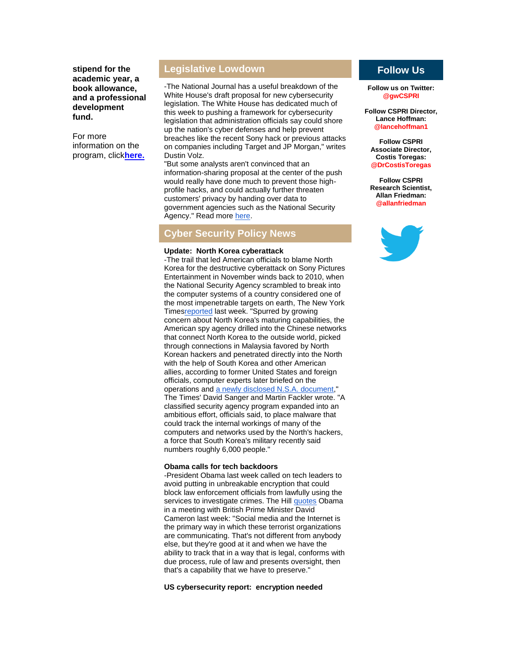**stipend for the academic year, a book allowance, and a professional development fund.**

For more information on the program, click**[here.](http://r20.rs6.net/tn.jsp?e=001x8pAwDodaQ4Cs9nVvhUKDA-PxmjcBPSpdJ9bKFyt1ydYnmUmJsZ40EmV4qsP2dgS0ireGkcgPht4M0gO2XlQbRnfjfUI75n5RyxCfoJlVCfdZheZXynBOvPtAatwnpHm)**

# **Legislative Lowdown**

-The National Journal has a useful breakdown of the White House's draft proposal for new cybersecurity legislation. The White House has dedicated much of this week to pushing a framework for cybersecurity legislation that administration officials say could shore up the nation's cyber defenses and help prevent breaches like the recent Sony hack or previous attacks on companies including Target and JP Morgan," writes Dustin Volz.

"But some analysts aren't convinced that an information-sharing proposal at the center of the push would really have done much to prevent those highprofile hacks, and could actually further threaten customers' privacy by handing over data to government agencies such as the National Security Agency." Read more [here.](http://r20.rs6.net/tn.jsp?e=001x8pAwDodaQ4Cs9nVvhUKDA-PxmjcBPSpdJ9bKFyt1ydYnmUmJsZ40EmV4qsP2dgS0ireGkcgPhuHZBms88tfL7KKn4Y8GNIhr5zmUzH95XxgiLVmUIXaSlk7R_qW469X4gBsZJWRTWuhk01b1GpUUHHrbc1wwjI3sY_cHJUf2MlDiudul8WOpjhJup1X2Hci)

# **Cyber Security Policy News**

#### **Update: North Korea cyberattack**

-The trail that led American officials to blame North Korea for the destructive cyberattack on Sony Pictures Entertainment in November winds back to 2010, when the National Security Agency scrambled to break into the computer systems of a country considered one of the most impenetrable targets on earth, The New York Time[sreported](http://r20.rs6.net/tn.jsp?e=001x8pAwDodaQ4Cs9nVvhUKDA-PxmjcBPSpdJ9bKFyt1ydYnmUmJsZ40EmV4qsP2dgS0ireGkcgPhu7Am5sdidZpukpvuWl1WlvJXyA72NLiCjlpkiU_jbTr913n3scl6t45JcpQdbEP64lLJqZpl5vg6xMb3Z07vRqJ4sqtkAEGc6avSDDp4ZME5nElA-vp1VpvSCN9vnmrx-I-DNseRcMaQK31jSD0yimJnD8dRPMQi4Cpz9GzyiBMMAPQmVYdFbgHpUo5xCwxts=) last week. "Spurred by growing concern about North Korea's maturing capabilities, the American spy agency drilled into the Chinese networks that connect North Korea to the outside world, picked through connections in Malaysia favored by North Korean hackers and penetrated directly into the North with the help of South Korea and other American allies, according to former United States and foreign officials, computer experts later briefed on the operations and [a newly disclosed N.S.A. document,](http://r20.rs6.net/tn.jsp?e=001x8pAwDodaQ4Cs9nVvhUKDA-PxmjcBPSpdJ9bKFyt1ydYnmUmJsZ40EmV4qsP2dgS0ireGkcgPhsijtYePz-jqFJ1qhd1x9PJpFMY-Bam00czaKL2T75yHr73Rn85XPQfn6dL31FyXFk=)" The Times' David Sanger and Martin Fackler wrote. "A classified security agency program expanded into an ambitious effort, officials said, to place malware that could track the internal workings of many of the computers and networks used by the North's hackers, a force that South Korea's military recently said numbers roughly 6,000 people."

### **Obama calls for tech backdoors**

-President Obama last week called on tech leaders to avoid putting in unbreakable encryption that could block law enforcement officials from lawfully using the services to investigate crimes. The Hill [quotes](http://r20.rs6.net/tn.jsp?e=001x8pAwDodaQ4Cs9nVvhUKDA-PxmjcBPSpdJ9bKFyt1ydYnmUmJsZ40EmV4qsP2dgS0ireGkcgPhs-yd_4cqm8Lb1vcPh2VjxzaqX_hf-ATiCjVmohOl7HnkYOYRt7BOZ-Y00nu8bRwr-A6JFwZpx10z-x5InuN1LMzTCG2M6knOksyPz5J1mRuZPDEnskW2D9) Obama in a meeting with British Prime Minister David Cameron last week: "Social media and the Internet is the primary way in which these terrorist organizations are communicating. That's not different from anybody else, but they're good at it and when we have the ability to track that in a way that is legal, conforms with due process, rule of law and presents oversight, then that's a capability that we have to preserve."

### **US cybersecurity report: encryption needed**

# **Follow Us**

**Follow us on Twitter: @gwCSPRI**

**Follow CSPRI Director, Lance Hoffman: @lancehoffman1**

**Follow CSPRI Associate Director, Costis Toregas: @DrCostisToregas**

**Follow CSPRI Research Scientist, Allan Friedman: @allanfriedman**